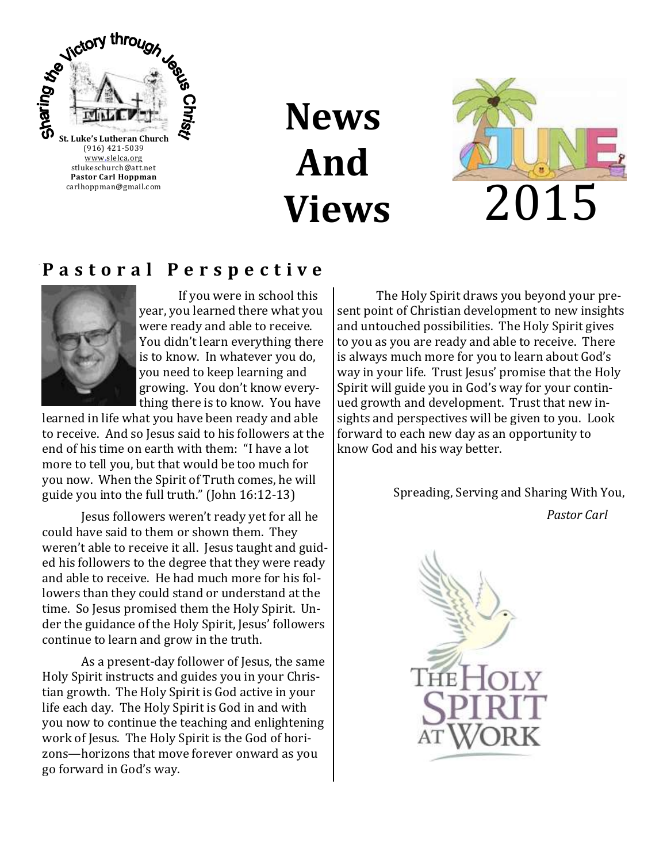

**News And Views**



### **P a s t o r a l P e r s p e c t i v e**



If you were in school this year, you learned there what you were ready and able to receive. You didn't learn everything there is to know. In whatever you do, you need to keep learning and growing. You don't know everything there is to know. You have

learned in life what you have been ready and able to receive. And so Jesus said to his followers at the end of his time on earth with them: "I have a lot more to tell you, but that would be too much for you now. When the Spirit of Truth comes, he will guide you into the full truth." (John 16:12-13)

Jesus followers weren't ready yet for all he could have said to them or shown them. They weren't able to receive it all. Jesus taught and guided his followers to the degree that they were ready and able to receive. He had much more for his followers than they could stand or understand at the time. So Jesus promised them the Holy Spirit. Under the guidance of the Holy Spirit, Jesus' followers continue to learn and grow in the truth.

As a present-day follower of Jesus, the same Holy Spirit instructs and guides you in your Christian growth. The Holy Spirit is God active in your life each day. The Holy Spirit is God in and with you now to continue the teaching and enlightening work of Jesus. The Holy Spirit is the God of horizons—horizons that move forever onward as you go forward in God's way.

The Holy Spirit draws you beyond your present point of Christian development to new insights and untouched possibilities. The Holy Spirit gives to you as you are ready and able to receive. There is always much more for you to learn about God's way in your life. Trust Jesus' promise that the Holy Spirit will guide you in God's way for your continued growth and development. Trust that new insights and perspectives will be given to you. Look forward to each new day as an opportunity to know God and his way better.

Spreading, Serving and Sharing With You,

*Pastor Carl*

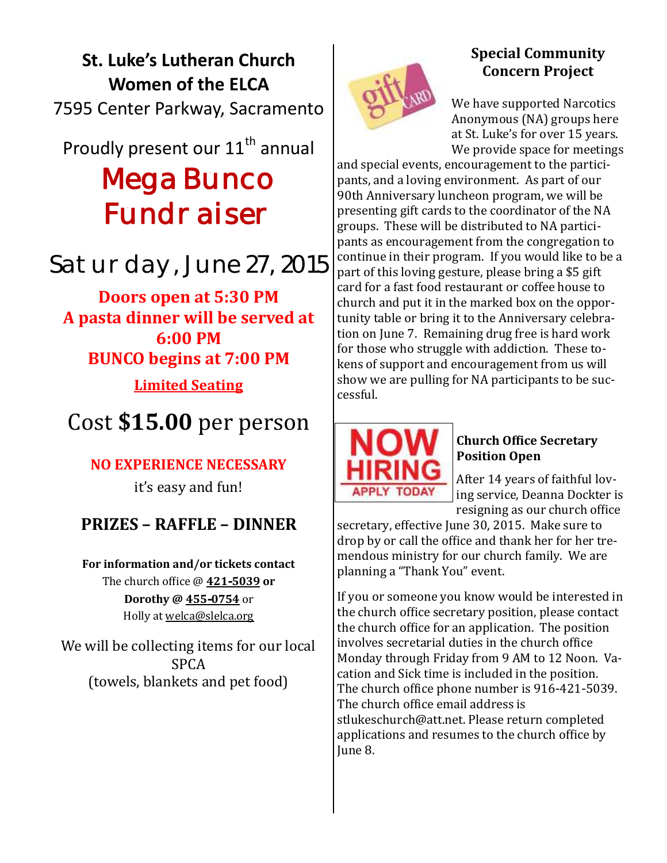# **St. Luke's Lutheran Church Women of the ELCA** 7595 Center Parkway, Sacramento

# Proudly present our 11<sup>th</sup> annual Mega Bunco Fundraiser

# Saturday, June 27, 2015

**Doors open at 5:30 PM A pasta dinner will be served at 6:00 PM BUNCO begins at 7:00 PM**

# **Limited Seating**

# Cost **\$15.00** per person

## **NO EXPERIENCE NECESSARY**

it's easy and fun!

## **PRIZES – RAFFLE – DINNER**

**For information and/or tickets contact**  The church office @ **421-5039 or Dorothy @ 455-0754** or Holly at welca@slelca.org

We will be collecting items for our local SPCA (towels, blankets and pet food)



### **Special Community Concern Project**

We have supported Narcotics Anonymous (NA) groups here at St. Luke's for over 15 years. We provide space for meetings

and special events, encouragement to the participants, and a loving environment. As part of our 90th Anniversary luncheon program, we will be presenting gift cards to the coordinator of the NA groups. These will be distributed to NA participants as encouragement from the congregation to continue in their program. If you would like to be a part of this loving gesture, please bring a \$5 gift card for a fast food restaurant or coffee house to church and put it in the marked box on the opportunity table or bring it to the Anniversary celebration on June 7. Remaining drug free is hard work for those who struggle with addiction. These tokens of support and encouragement from us will show we are pulling for NA participants to be successful.



#### **Church Office Secretary Position Open**

After 14 years of faithful loving service, Deanna Dockter is resigning as our church office

secretary, effective June 30, 2015. Make sure to drop by or call the office and thank her for her tremendous ministry for our church family. We are planning a "Thank You" event.

If you or someone you know would be interested in the church office secretary position, please contact the church office for an application. The position involves secretarial duties in the church office Monday through Friday from 9 AM to 12 Noon. Vacation and Sick time is included in the position. The church office phone number is 916-421-5039. The church office email address is stlukeschurch@att.net. Please return completed applications and resumes to the church office by June 8.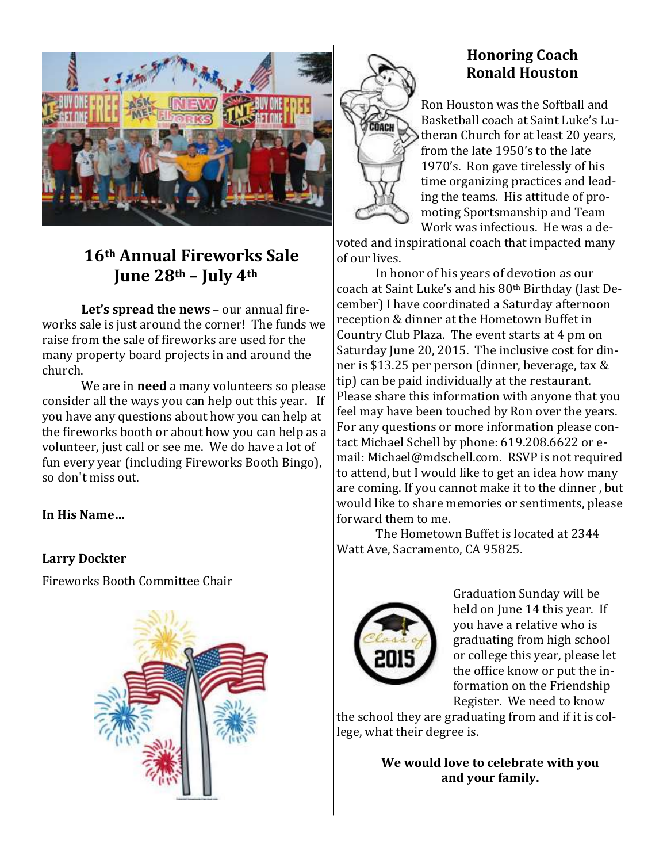

## **16th Annual Fireworks Sale June 28th – July 4th**

**Let's spread the news** – our annual fireworks sale is just around the corner! The funds we raise from the sale of fireworks are used for the many property board projects in and around the church.

We are in **need** a many volunteers so please consider all the ways you can help out this year. If you have any questions about how you can help at the fireworks booth or about how you can help as a volunteer, just call or see me. We do have a lot of fun every year (including Fireworks Booth Bingo), so don't miss out.

**In His Name…**

#### **Larry Dockter**

Fireworks Booth Committee Chair





### **Honoring Coach Ronald Houston**

Ron Houston was the Softball and Basketball coach at Saint Luke's Lutheran Church for at least 20 years, from the late 1950's to the late 1970's. Ron gave tirelessly of his time organizing practices and leading the teams. His attitude of promoting Sportsmanship and Team Work was infectious. He was a de-

voted and inspirational coach that impacted many of our lives.

In honor of his years of devotion as our coach at Saint Luke's and his 80th Birthday (last December) I have coordinated a Saturday afternoon reception & dinner at the Hometown Buffet in Country Club Plaza. The event starts at 4 pm on Saturday June 20, 2015. The inclusive cost for dinner is \$13.25 per person (dinner, beverage, tax & tip) can be paid individually at the restaurant. Please share this information with anyone that you feel may have been touched by Ron over the years. For any questions or more information please contact Michael Schell by phone: 619.208.6622 or email: [Michael@mdschell.com.](mailto:Michael@mdschell.com) RSVP is not required to attend, but I would like to get an idea how many are coming. If you cannot make it to the dinner , but would like to share memories or sentiments, please forward them to me.

The Hometown Buffet is located at 2344 Watt Ave, Sacramento, CA 95825.



Graduation Sunday will be held on June 14 this year. If you have a relative who is graduating from high school or college this year, please let the office know or put the information on the Friendship Register. We need to know

the school they are graduating from and if it is college, what their degree is.

> **We would love to celebrate with you and your family.**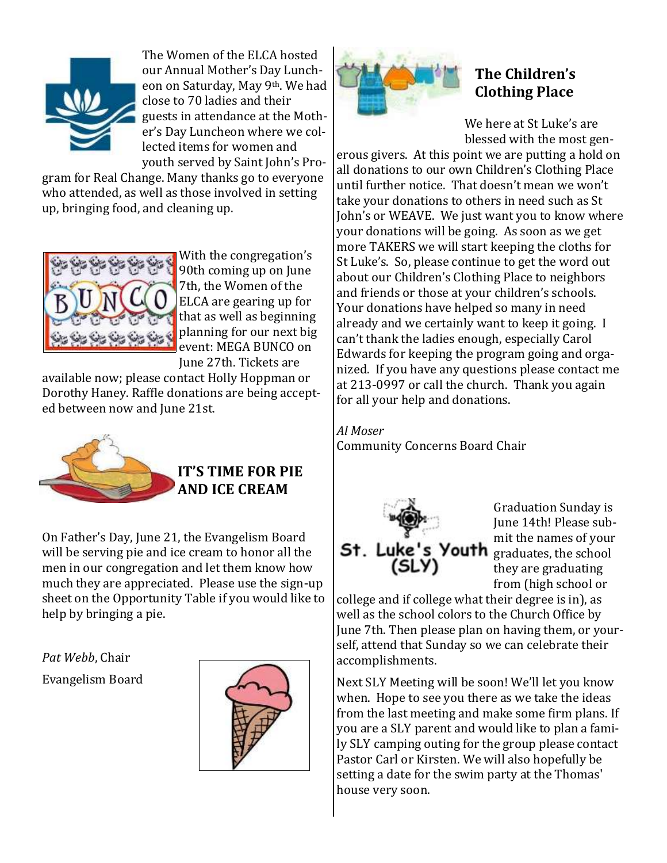

The Women of the ELCA hosted our Annual Mother's Day Luncheon on Saturday, May 9th. We had close to 70 ladies and their guests in attendance at the Mother's Day Luncheon where we collected items for women and youth served by Saint John's Pro-

gram for Real Change. Many thanks go to everyone who attended, as well as those involved in setting up, bringing food, and cleaning up.



With the congregation's 90th coming up on June 7th, the Women of the ELCA are gearing up for that as well as beginning planning for our next big event: MEGA BUNCO on June 27th. Tickets are

available now; please contact Holly Hoppman or Dorothy Haney. Raffle donations are being accepted between now and June 21st.



## **IT'S TIME FOR PIE AND ICE CREAM**

On Father's Day, June 21, the Evangelism Board will be serving pie and ice cream to honor all the men in our congregation and let them know how much they are appreciated. Please use the sign-up sheet on the Opportunity Table if you would like to help by bringing a pie.

*Pat Webb*, Chair Evangelism Board





## **The Children's Clothing Place**

We here at St Luke's are blessed with the most gen-

erous givers. At this point we are putting a hold on all donations to our own Children's Clothing Place until further notice. That doesn't mean we won't take your donations to others in need such as St John's or WEAVE. We just want you to know where your donations will be going. As soon as we get more TAKERS we will start keeping the cloths for St Luke's. So, please continue to get the word out about our Children's Clothing Place to neighbors and friends or those at your children's schools. Your donations have helped so many in need already and we certainly want to keep it going. I can't thank the ladies enough, especially Carol Edwards for keeping the program going and organized. If you have any questions please contact me at 213-0997 or call the church. Thank you again for all your help and donations.

*Al Moser* Community Concerns Board Chair



Graduation Sunday is June 14th! Please submit the names of your they are graduating from (high school or

college and if college what their degree is in), as well as the school colors to the Church Office by June 7th. Then please plan on having them, or yourself, attend that Sunday so we can celebrate their accomplishments.

Next SLY Meeting will be soon! We'll let you know when. Hope to see you there as we take the ideas from the last meeting and make some firm plans. If you are a SLY parent and would like to plan a family SLY camping outing for the group please contact Pastor Carl or Kirsten. We will also hopefully be setting a date for the swim party at the Thomas' house very soon.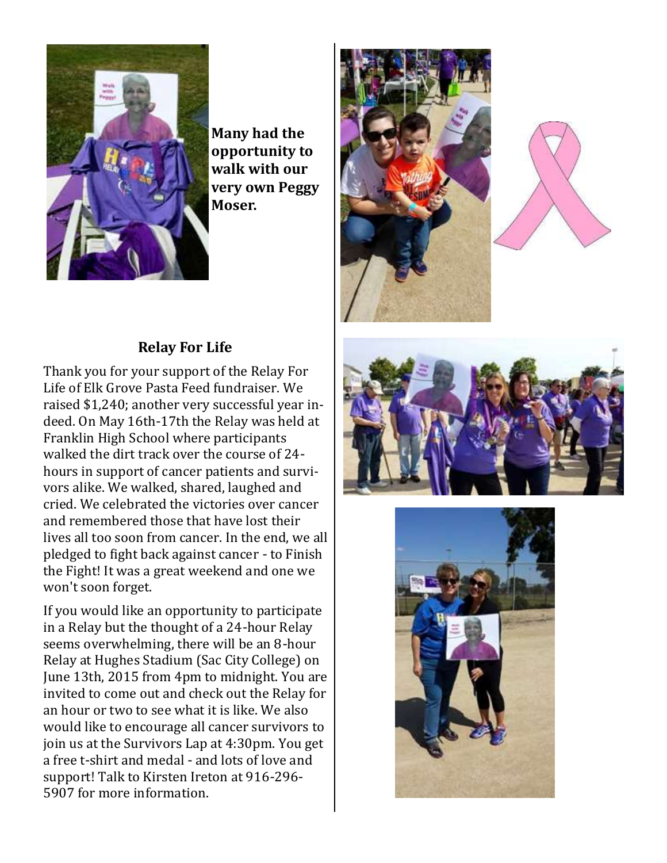

**Many had the opportunity to walk with our very own Peggy Moser.**

### **Relay For Life**

Thank you for your support of the Relay For Life of Elk Grove Pasta Feed fundraiser. We raised \$1,240; another very successful year indeed. On May 16th-17th the Relay was held at Franklin High School where participants walked the dirt track over the course of 24 hours in support of cancer patients and survivors alike. We walked, shared, laughed and cried. We celebrated the victories over cancer and remembered those that have lost their lives all too soon from cancer. In the end, we all pledged to fight back against cancer - to Finish the Fight! It was a great weekend and one we won't soon forget.

If you would like an opportunity to participate in a Relay but the thought of a 24-hour Relay seems overwhelming, there will be an 8-hour Relay at Hughes Stadium (Sac City College) on June 13th, 2015 from 4pm to midnight. You are invited to come out and check out the Relay for an hour or two to see what it is like. We also would like to encourage all cancer survivors to join us at the Survivors Lap at 4:30pm. You get a free t-shirt and medal - and lots of love and support! Talk to Kirsten Ireton at 916-296- 5907 for more information.







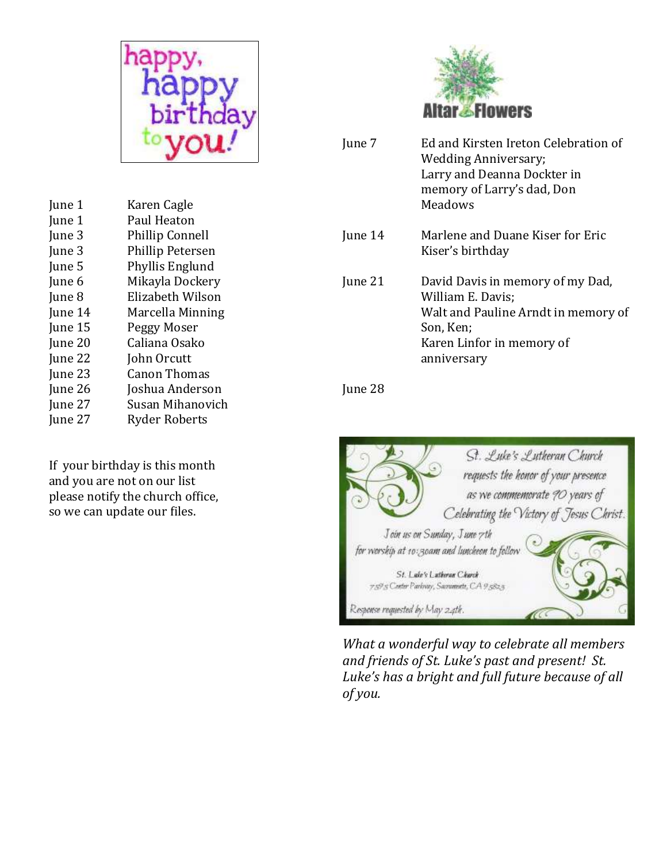

| June 1  | Karen Cagle             |
|---------|-------------------------|
| June 1  | Paul Heaton             |
| June 3  | <b>Phillip Connell</b>  |
| June 3  | <b>Phillip Petersen</b> |
| June 5  | Phyllis Englund         |
| June 6  | Mikayla Dockery         |
| June 8  | Elizabeth Wilson        |
| June 14 | Marcella Minning        |
| June 15 | Peggy Moser             |
| June 20 | Caliana Osako           |
| June 22 | John Orcutt             |
| June 23 | <b>Canon Thomas</b>     |
| June 26 | Joshua Anderson         |
| June 27 | Susan Mihanovich        |
| June 27 | <b>Ryder Roberts</b>    |
|         |                         |

If your birthday is this month and you are not on our list please notify the church office, so we can update our files.



| June 7  | Ed and Kirsten Ireton Celebration of<br>Wedding Anniversary;<br>Larry and Deanna Dockter in<br>memory of Larry's dad, Don<br>Meadows                  |
|---------|-------------------------------------------------------------------------------------------------------------------------------------------------------|
| June 14 | Marlene and Duane Kiser for Eric<br>Kiser's birthday                                                                                                  |
| June 21 | David Davis in memory of my Dad,<br>William E. Davis;<br>Walt and Pauline Arndt in memory of<br>Son, Ken;<br>Karen Linfor in memory of<br>anniversary |

June 28



*What a wonderful way to celebrate all members and friends of St. Luke's past and present! St. Luke's has a bright and full future because of all of you.*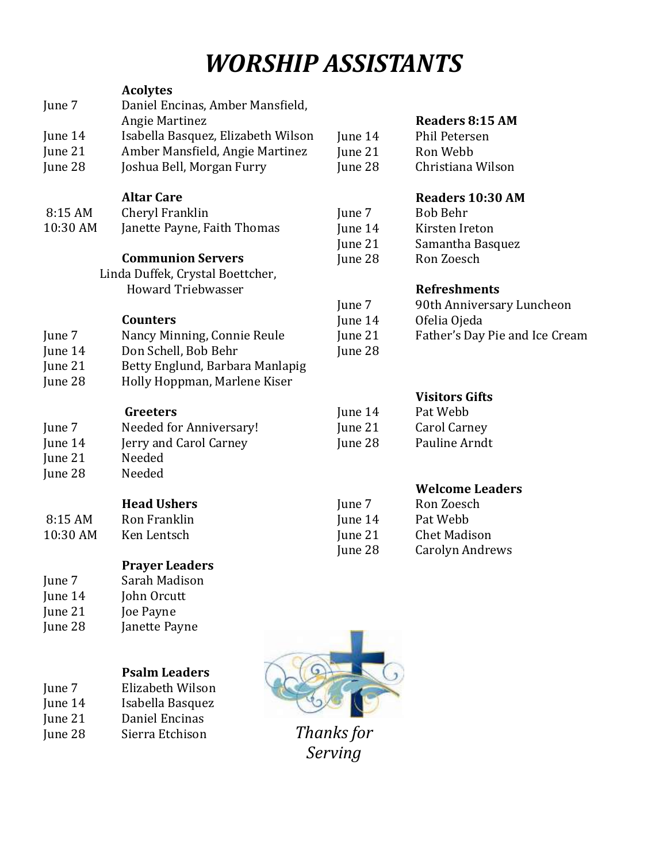# *WORSHIP ASSISTANTS*

|          | <b>Acolytes</b>                    |         |                                |
|----------|------------------------------------|---------|--------------------------------|
| June 7   | Daniel Encinas, Amber Mansfield,   |         |                                |
|          | Angie Martinez                     |         | <b>Readers 8:15 AM</b>         |
| June 14  | Isabella Basquez, Elizabeth Wilson | June 14 | <b>Phil Petersen</b>           |
| June 21  | Amber Mansfield, Angie Martinez    | June 21 | Ron Webb                       |
| June 28  | Joshua Bell, Morgan Furry          | June 28 | Christiana Wilson              |
|          | <b>Altar Care</b>                  |         | Readers 10:30 AM               |
| 8:15 AM  | Cheryl Franklin                    | June 7  | <b>Bob Behr</b>                |
| 10:30 AM | Janette Payne, Faith Thomas        | June 14 | Kirsten Ireton                 |
|          |                                    | June 21 | Samantha Basquez               |
|          | <b>Communion Servers</b>           | June 28 | Ron Zoesch                     |
|          | Linda Duffek, Crystal Boettcher,   |         |                                |
|          | <b>Howard Triebwasser</b>          |         | <b>Refreshments</b>            |
|          |                                    | June 7  | 90th Anniversary Luncheon      |
|          | <b>Counters</b>                    | June 14 | Ofelia Ojeda                   |
| June 7   | Nancy Minning, Connie Reule        | June 21 | Father's Day Pie and Ice Cream |
| June 14  | Don Schell, Bob Behr               | June 28 |                                |
| June 21  | Betty Englund, Barbara Manlapig    |         |                                |
| June 28  | Holly Hoppman, Marlene Kiser       |         |                                |
|          |                                    |         | <b>Visitors Gifts</b>          |
|          | Greeters                           | June 14 | Pat Webb                       |
| June 7   | Needed for Anniversary!            | June 21 | Carol Carney                   |
| June 14  | Jerry and Carol Carney             | June 28 | Pauline Arndt                  |
| June 21  | Needed                             |         |                                |
| June 28  | Needed                             |         |                                |
|          |                                    |         | <b>Welcome Leaders</b>         |
|          | <b>Head Ushers</b>                 | June 7  | Ron Zoesch                     |
| 8:15 AM  | Ron Franklin                       | June 14 | Pat Webb                       |
| 10:30 AM | Ken Lentsch                        | June 21 | <b>Chet Madison</b>            |
|          |                                    | June 28 | <b>Carolyn Andrews</b>         |
|          | <b>Prayer Leaders</b>              |         |                                |
| June 7   | Sarah Madison                      |         |                                |
| June 14  | John Orcutt                        |         |                                |
| June 21  | Joe Payne                          |         |                                |
| June 28  | Janette Payne                      |         |                                |
|          |                                    |         |                                |
|          | <b>Psalm Leaders</b>               |         |                                |
| June 7   | Elizabeth Wilson                   |         |                                |
| June 14  | Isabella Basquez                   |         |                                |
|          |                                    |         |                                |

June 21 Daniel Encinas June 28 Sierra Etchison

*Thanks for Serving*